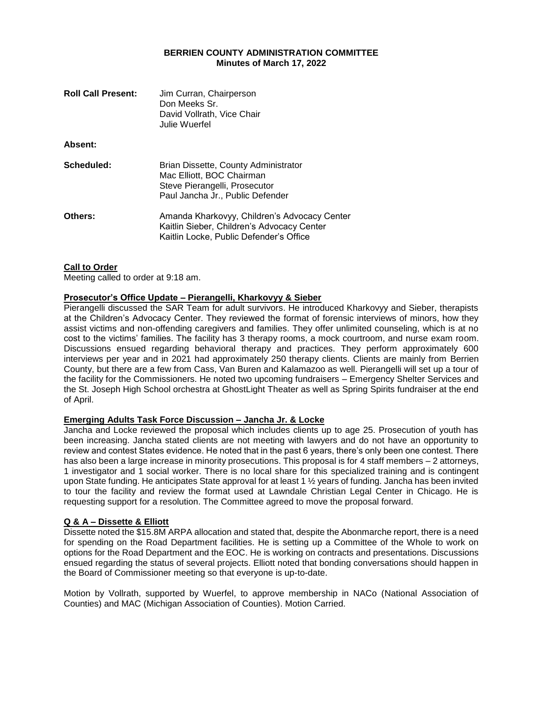### **BERRIEN COUNTY ADMINISTRATION COMMITTEE Minutes of March 17, 2022**

| <b>Roll Call Present:</b> | Jim Curran, Chairperson<br>Don Meeks Sr.<br>David Vollrath, Vice Chair<br>Julie Wuerfel                                                |
|---------------------------|----------------------------------------------------------------------------------------------------------------------------------------|
| Absent:                   |                                                                                                                                        |
| Scheduled:                | Brian Dissette, County Administrator<br>Mac Elliott, BOC Chairman<br>Steve Pierangelli, Prosecutor<br>Paul Jancha Jr., Public Defender |
| Others:                   | Amanda Kharkovyy, Children's Advocacy Center<br>Kaitlin Sieber, Children's Advocacy Center<br>Kaitlin Locke, Public Defender's Office  |

#### **Call to Order**

Meeting called to order at 9:18 am.

#### **Prosecutor's Office Update – Pierangelli, Kharkovyy & Sieber**

Pierangelli discussed the SAR Team for adult survivors. He introduced Kharkovyy and Sieber, therapists at the Children's Advocacy Center. They reviewed the format of forensic interviews of minors, how they assist victims and non-offending caregivers and families. They offer unlimited counseling, which is at no cost to the victims' families. The facility has 3 therapy rooms, a mock courtroom, and nurse exam room. Discussions ensued regarding behavioral therapy and practices. They perform approximately 600 interviews per year and in 2021 had approximately 250 therapy clients. Clients are mainly from Berrien County, but there are a few from Cass, Van Buren and Kalamazoo as well. Pierangelli will set up a tour of the facility for the Commissioners. He noted two upcoming fundraisers – Emergency Shelter Services and the St. Joseph High School orchestra at GhostLight Theater as well as Spring Spirits fundraiser at the end of April.

#### **Emerging Adults Task Force Discussion – Jancha Jr. & Locke**

Jancha and Locke reviewed the proposal which includes clients up to age 25. Prosecution of youth has been increasing. Jancha stated clients are not meeting with lawyers and do not have an opportunity to review and contest States evidence. He noted that in the past 6 years, there's only been one contest. There has also been a large increase in minority prosecutions. This proposal is for 4 staff members – 2 attorneys, 1 investigator and 1 social worker. There is no local share for this specialized training and is contingent upon State funding. He anticipates State approval for at least 1 ½ years of funding. Jancha has been invited to tour the facility and review the format used at Lawndale Christian Legal Center in Chicago. He is requesting support for a resolution. The Committee agreed to move the proposal forward.

## **Q & A – Dissette & Elliott**

Dissette noted the \$15.8M ARPA allocation and stated that, despite the Abonmarche report, there is a need for spending on the Road Department facilities. He is setting up a Committee of the Whole to work on options for the Road Department and the EOC. He is working on contracts and presentations. Discussions ensued regarding the status of several projects. Elliott noted that bonding conversations should happen in the Board of Commissioner meeting so that everyone is up-to-date.

Motion by Vollrath, supported by Wuerfel, to approve membership in NACo (National Association of Counties) and MAC (Michigan Association of Counties). Motion Carried.